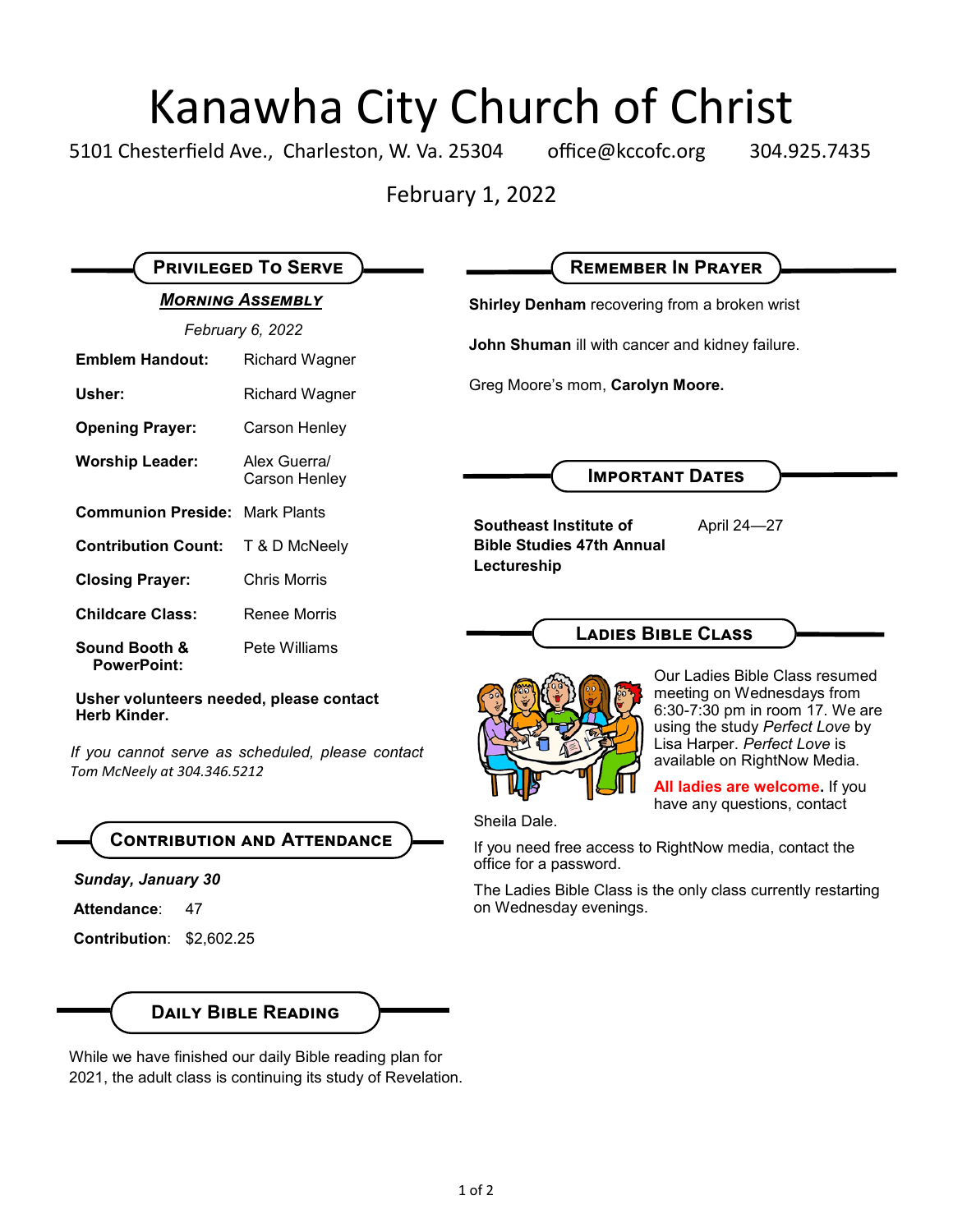# Kanawha City Church of Christ<br>esterfield Ave., Charleston, W. Va. 25304 office@kccofc.org 304.9

5101 Chesterfield Ave., Charleston, W. Va. 25304 office@kccofc.org 304.925.7435

February 1, 2022

| <b>MORNING ASSEMBLY</b><br>February 6, 2022                                                                                                |                               | Shirley Denham recovering from a broken wrist                                                                                                                                                                                                                       |
|--------------------------------------------------------------------------------------------------------------------------------------------|-------------------------------|---------------------------------------------------------------------------------------------------------------------------------------------------------------------------------------------------------------------------------------------------------------------|
|                                                                                                                                            |                               |                                                                                                                                                                                                                                                                     |
| Usher:                                                                                                                                     | <b>Richard Wagner</b>         | Greg Moore's mom, Carolyn Moore.                                                                                                                                                                                                                                    |
| <b>Opening Prayer:</b>                                                                                                                     | Carson Henley                 |                                                                                                                                                                                                                                                                     |
| <b>Worship Leader:</b>                                                                                                                     | Alex Guerra/<br>Carson Henley | <b>IMPORTANT DATES</b>                                                                                                                                                                                                                                              |
| <b>Communion Preside: Mark Plants</b>                                                                                                      |                               | Southeast Institute of<br>April 24-27<br><b>Bible Studies 47th Annual</b><br>Lectureship                                                                                                                                                                            |
| <b>Contribution Count:</b>                                                                                                                 | T & D McNeely                 |                                                                                                                                                                                                                                                                     |
| <b>Closing Prayer:</b>                                                                                                                     | <b>Chris Morris</b>           |                                                                                                                                                                                                                                                                     |
| <b>Childcare Class:</b>                                                                                                                    | <b>Renee Morris</b>           |                                                                                                                                                                                                                                                                     |
| <b>Sound Booth &amp;</b><br><b>PowerPoint:</b>                                                                                             | Pete Williams                 | <b>LADIES BIBLE CLASS</b>                                                                                                                                                                                                                                           |
| Usher volunteers needed, please contact<br>Herb Kinder.<br>If you cannot serve as scheduled, please contact<br>Tom McNeely at 304.346.5212 |                               | Our Ladies Bible Class resumed<br>meeting on Wednesdays from<br>6:30-7:30 pm in room 17. We are<br>using the study Perfect Love by<br>Lisa Harper. Perfect Love is<br>available on RightNow Media.<br>All ladies are welcome. If you<br>have any questions, contact |
| <b>CONTRIBUTION AND ATTENDANCE</b><br>Sunday, January 30                                                                                   |                               | Sheila Dale.<br>If you need free access to RightNow media, contact the<br>office for a password.                                                                                                                                                                    |
| Attendance:<br>47                                                                                                                          |                               | The Ladies Bible Class is the only class currently restarting<br>on Wednesday evenings.                                                                                                                                                                             |
| Contribution: \$2,602.25                                                                                                                   |                               |                                                                                                                                                                                                                                                                     |
|                                                                                                                                            |                               |                                                                                                                                                                                                                                                                     |

While we have finished our daily Bible reading plan for 2021, the adult class is continuing its study of Revelation.